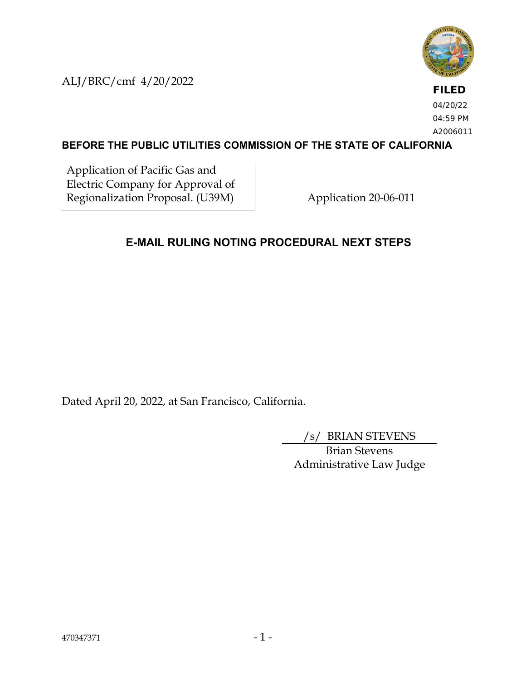ALJ/BRC/cmf 4/20/2022



**FILED** 04/20/22 04:59 PM A2006011

## **BEFORE THE PUBLIC UTILITIES COMMISSION OF THE STATE OF CALIFORNIA**

Application of Pacific Gas and Electric Company for Approval of Regionalization Proposal. (U39M) Application 20-06-011

## **E-MAIL RULING NOTING PROCEDURAL NEXT STEPS**

Dated April 20, 2022, at San Francisco, California.

/s/ BRIAN STEVENS

Brian Stevens Administrative Law Judge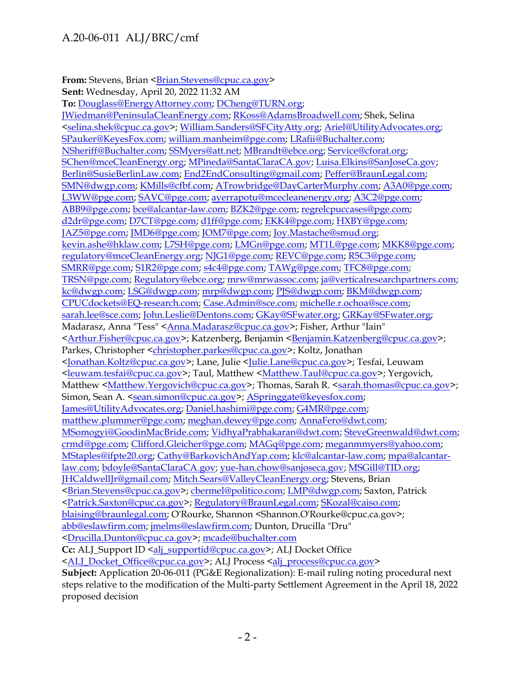## A.20-06-011 ALJ/BRC/cmf

**From:** Stevens, Brian < Brian.Stevens@cpuc.ca.gov> **Sent:** Wednesday, April 20, 2022 11:32 AM **To:** [Douglass@EnergyAttorney.com;](mailto:Douglass@EnergyAttorney.com) [DCheng@TURN.org;](mailto:DCheng@TURN.org) [JWiedman@PeninsulaCleanEnergy.com;](mailto:JWiedman@PeninsulaCleanEnergy.com) [RKoss@AdamsBroadwell.com;](mailto:RKoss@AdamsBroadwell.com) Shek, Selina [<selina.shek@cpuc.ca.gov>](mailto:selina.shek@cpuc.ca.gov); [William.Sanders@SFCityAtty.org;](mailto:William.Sanders@SFCityAtty.org) [Ariel@UtilityAdvocates.org;](mailto:Ariel@UtilityAdvocates.org) [SPauker@KeyesFox.com;](mailto:SPauker@KeyesFox.com) [william.manheim@pge.com;](mailto:william.manheim@pge.com) [LRafii@Buchalter.com;](mailto:LRafii@Buchalter.com) [NSheriff@Buchalter.com;](mailto:NSheriff@Buchalter.com) [SSMyers@att.net;](mailto:SSMyers@att.net) [MBrandt@ebce.org;](mailto:MBrandt@ebce.org) [Service@cforat.org;](mailto:Service@cforat.org) [SChen@mceCleanEnergy.org;](mailto:SChen@mceCleanEnergy.org) [MPineda@SantaClaraCA.gov;](mailto:MPineda@SantaClaraCA.gov) [Luisa.Elkins@SanJoseCa.gov;](mailto:Luisa.Elkins@SanJoseCa.gov) [Berlin@SusieBerlinLaw.com;](mailto:Berlin@SusieBerlinLaw.com) [End2EndConsulting@gmail.com;](mailto:End2EndConsulting@gmail.com) [Peffer@BraunLegal.com;](mailto:Peffer@BraunLegal.com) [SMN@dwgp.com;](mailto:SMN@dwgp.com) [KMills@cfbf.com;](mailto:KMills@cfbf.com) [ATrowbridge@DayCarterMurphy.com;](mailto:ATrowbridge@DayCarterMurphy.com) [A3A0@pge.com;](mailto:A3A0@pge.com) [L3WW@pge.com;](mailto:L3WW@pge.com) [SAVC@pge.com;](mailto:SAVC@pge.com) [ayerrapotu@mcecleanenergy.org;](mailto:ayerrapotu@mcecleanenergy.org) [A3C2@pge.com;](mailto:A3C2@pge.com) [ABB9@pge.com;](mailto:ABB9@pge.com) [bce@alcantar-law.com;](mailto:bce@alcantar-law.com) [BZK2@pge.com;](mailto:BZK2@pge.com) [regrelcpuccases@pge.com;](mailto:regrelcpuccases@pge.com) [d2dr@pge.com;](mailto:d2dr@pge.com) [D7CT@pge.com;](mailto:D7CT@pge.com) [d1ff@pge.com;](mailto:d1ff@pge.com) [EKK4@pge.com;](mailto:EKK4@pge.com) [HXBY@pge.com;](mailto:HXBY@pge.com) [JAZ5@pge.com;](mailto:JAZ5@pge.com) [JMD6@pge.com;](mailto:JMD6@pge.com) [JOM7@pge.com;](mailto:JOM7@pge.com) [Joy.Mastache@smud.org;](mailto:Joy.Mastache@smud.org) [kevin.ashe@hklaw.com;](mailto:kevin.ashe@hklaw.com) [L7SH@pge.com;](mailto:L7SH@pge.com) [LMGn@pge.com;](mailto:LMGn@pge.com) [MT1L@pge.com;](mailto:MT1L@pge.com) [MKK8@pge.com;](mailto:MKK8@pge.com) [regulatory@mceCleanEnergy.org;](mailto:regulatory@mceCleanEnergy.org) [NJG1@pge.com;](mailto:NJG1@pge.com) [REVC@pge.com;](mailto:REVC@pge.com) [R5C3@pge.com;](mailto:R5C3@pge.com) [SMRR@pge.com;](mailto:SMRR@pge.com) [S1R2@pge.com;](mailto:S1R2@pge.com) [s4c4@pge.com;](mailto:s4c4@pge.com) [TAWg@pge.com;](mailto:TAWg@pge.com) [TFC8@pge.com;](mailto:TFC8@pge.com) [TRSN@pge.com;](mailto:TRSN@pge.com) [Regulatory@ebce.org;](mailto:Regulatory@ebce.org) [mrw@mrwassoc.com;](mailto:mrw@mrwassoc.com) [ja@verticalresearchpartners.com;](mailto:ja@verticalresearchpartners.com) [kc@dwgp.com;](mailto:kc@dwgp.com) [LSG@dwgp.com;](mailto:LSG@dwgp.com) [mrp@dwgp.com;](mailto:mrp@dwgp.com) [PJS@dwgp.com;](mailto:PJS@dwgp.com) [BKM@dwgp.com;](mailto:BKM@dwgp.com) [CPUCdockets@EQ-research.com;](mailto:CPUCdockets@EQ-research.com) [Case.Admin@sce.com;](mailto:Case.Admin@sce.com) [michelle.r.ochoa@sce.com;](mailto:michelle.r.ochoa@sce.com) [sarah.lee@sce.com;](mailto:sarah.lee@sce.com) [John.Leslie@Dentons.com;](mailto:John.Leslie@Dentons.com) [GKay@SFwater.org;](mailto:GKay@SFwater.org) [GRKay@SFwater.org;](mailto:GRKay@SFwater.org) Madarasz, Anna "Tess" [<Anna.Madarasz@cpuc.ca.gov>](mailto:Anna.Madarasz@cpuc.ca.gov); Fisher, Arthur "Iain" [<Arthur.Fisher@cpuc.ca.gov>](mailto:Arthur.Fisher@cpuc.ca.gov); Katzenberg, Benjamin [<Benjamin.Katzenberg@cpuc.ca.gov>](mailto:Benjamin.Katzenberg@cpuc.ca.gov); Parkes, Christopher [<christopher.parkes@cpuc.ca.gov>](mailto:christopher.parkes@cpuc.ca.gov); Koltz, Jonathan [<Jonathan.Koltz@cpuc.ca.gov>](mailto:Jonathan.Koltz@cpuc.ca.gov); Lane, Julie [<Julie.Lane@cpuc.ca.gov>](mailto:Julie.Lane@cpuc.ca.gov); Tesfai, Leuwam [<leuwam.tesfai@cpuc.ca.gov>](mailto:leuwam.tesfai@cpuc.ca.gov); Taul, Matthew [<Matthew.Taul@cpuc.ca.gov>](mailto:Matthew.Taul@cpuc.ca.gov); Yergovich, Matthew [<Matthew.Yergovich@cpuc.ca.gov>](mailto:Matthew.Yergovich@cpuc.ca.gov); Thomas, Sarah R. [<sarah.thomas@cpuc.ca.gov>](mailto:sarah.thomas@cpuc.ca.gov); Simon, Sean A. [<sean.simon@cpuc.ca.gov>](mailto:sean.simon@cpuc.ca.gov); [ASpringgate@keyesfox.com;](mailto:ASpringgate@keyesfox.com) [James@UtilityAdvocates.org;](mailto:James@UtilityAdvocates.org) [Daniel.hashimi@pge.com;](mailto:Daniel.hashimi@pge.com) [G4MR@pge.com;](mailto:G4MR@pge.com) [matthew.plummer@pge.com;](mailto:matthew.plummer@pge.com) [meghan.dewey@pge.com;](mailto:meghan.dewey@pge.com) [AnnaFero@dwt.com;](mailto:AnnaFero@dwt.com) [MSomogyi@GoodinMacBride.com;](mailto:MSomogyi@GoodinMacBride.com) [VidhyaPrabhakaran@dwt.com;](mailto:VidhyaPrabhakaran@dwt.com) [SteveGreenwald@dwt.com;](mailto:SteveGreenwald@dwt.com) [crmd@pge.com;](mailto:crmd@pge.com) [Clifford.Gleicher@pge.com;](mailto:Clifford.Gleicher@pge.com) [MAGq@pge.com;](mailto:MAGq@pge.com) [meganmmyers@yahoo.com;](mailto:meganmmyers@yahoo.com) [MStaples@ifpte20.org;](mailto:MStaples@ifpte20.org) [Cathy@BarkovichAndYap.com;](mailto:Cathy@BarkovichAndYap.com) [klc@alcantar-law.com;](mailto:klc@alcantar-law.com) [mpa@alcantar](mailto:mpa@alcantar-law.com)[law.com;](mailto:mpa@alcantar-law.com) [bdoyle@SantaClaraCA.gov;](mailto:bdoyle@SantaClaraCA.gov) [yue-han.chow@sanjoseca.gov;](mailto:yue-han.chow@sanjoseca.gov) [MSGill@TID.org;](mailto:MSGill@TID.org) [JHCaldwellJr@gmail.com;](mailto:JHCaldwellJr@gmail.com) [Mitch.Sears@ValleyCleanEnergy.org;](mailto:Mitch.Sears@ValleyCleanEnergy.org) Stevens, Brian [<Brian.Stevens@cpuc.ca.gov>](mailto:Brian.Stevens@cpuc.ca.gov); [cbermel@politico.com;](mailto:cbermel@politico.com) [LMP@dwgp.com;](mailto:LMP@dwgp.com) Saxton, Patrick [<Patrick.Saxton@cpuc.ca.gov>](mailto:Patrick.Saxton@cpuc.ca.gov); [Regulatory@BraunLegal.com;](mailto:Regulatory@BraunLegal.com) [SKozal@caiso.com;](mailto:SKozal@caiso.com) [blaising@braunlegal.com;](mailto:blaising@braunlegal.com) O'Rourke, Shannon <Shannon.O'Rourke@cpuc.ca.gov>; [abb@eslawfirm.com;](mailto:abb@eslawfirm.com) [jmelms@eslawfirm.com;](mailto:jmelms@eslawfirm.com) Dunton, Drucilla "Dru" [<Drucilla.Dunton@cpuc.ca.gov>](mailto:Drucilla.Dunton@cpuc.ca.gov); [mcade@buchalter.com](mailto:mcade@buchalter.com) **Cc:** ALJ\_Support ID [<alj\\_supportid@cpuc.ca.gov>](mailto:alj_supportid@cpuc.ca.gov); ALJ Docket Office [<ALJ\\_Docket\\_Office@cpuc.ca.gov>](mailto:ALJ_Docket_Office@cpuc.ca.gov); ALJ Process [<alj\\_process@cpuc.ca.gov>](mailto:alj_process@cpuc.ca.gov) **Subject:** Application 20-06-011 (PG&E Regionalization): E-mail ruling noting procedural next steps relative to the modification of the Multi-party Settlement Agreement in the April 18, 2022

proposed decision